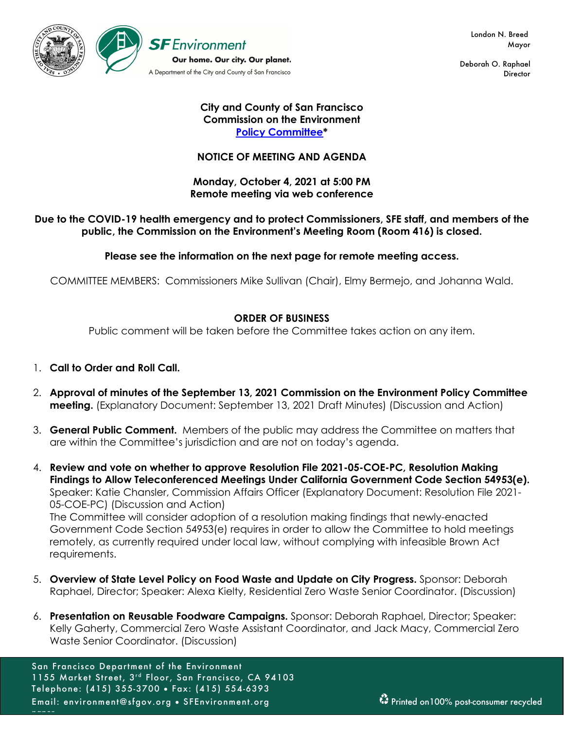

Deborah O. Raphael **Director** 

## **City and County of San Francisco Commission on the Environment Policy Committee\***

# **NOTICE OF MEETING AND AGENDA**

## **Monday, October 4, 2021 at 5:00 PM Remote meeting via web conference**

# **Due to the COVID-19 health emergency and to protect Commissioners, SFE staff, and members of the public, the Commission on the Environment's Meeting Room (Room 416) is closed.**

# **Please see the information on the next page for remote meeting access.**

COMMITTEE MEMBERS: Commissioners Mike Sullivan (Chair), Elmy Bermejo, and Johanna Wald.

## **ORDER OF BUSINESS**

Public comment will be taken before the Committee takes action on any item.

- 1. **Call to Order and Roll Call.**
- 2. **Approval of minutes of the September 13, 2021 Commission on the Environment Policy Committee meeting.** (Explanatory Document: September 13, 2021 Draft Minutes) (Discussion and Action)
- 3. **General Public Comment.** Members of the public may address the Committee on matters that are within the Committee's jurisdiction and are not on today's agenda.
- 4. **Review and vote on whether to approve Resolution File 2021-05-COE-PC, Resolution Making Findings to Allow Teleconferenced Meetings Under California Government Code Section 54953(e).** Speaker: Katie Chansler, Commission Affairs Officer (Explanatory Document: Resolution File 2021- 05-COE-PC) (Discussion and Action) The Committee will consider adoption of a resolution making findings that newly-enacted Government Code Section 54953(e) requires in order to allow the Committee to hold meetings remotely, as currently required under local law, without complying with infeasible Brown Act requirements.
- 5. **Overview of State Level Policy on Food Waste and Update on City Progress.** Sponsor: Deborah Raphael, Director; Speaker: Alexa Kielty, Residential Zero Waste Senior Coordinator. (Discussion)
- 6. **Presentation on Reusable Foodware Campaigns.** Sponsor: Deborah Raphael, Director; Speaker: Kelly Gaherty, Commercial Zero Waste Assistant Coordinator, and Jack Macy, Commercial Zero Waste Senior Coordinator. (Discussion)

San Francisco Department of the Environment 1155 Market Street, 3rd Floor, San Francisco, CA 94103 Telephone: (415) 355-3700 • Fax: (415) 554-6393 Email: environment@sfgov.org • SFEnvironment.org Printed on100% post-consumer recycled paper.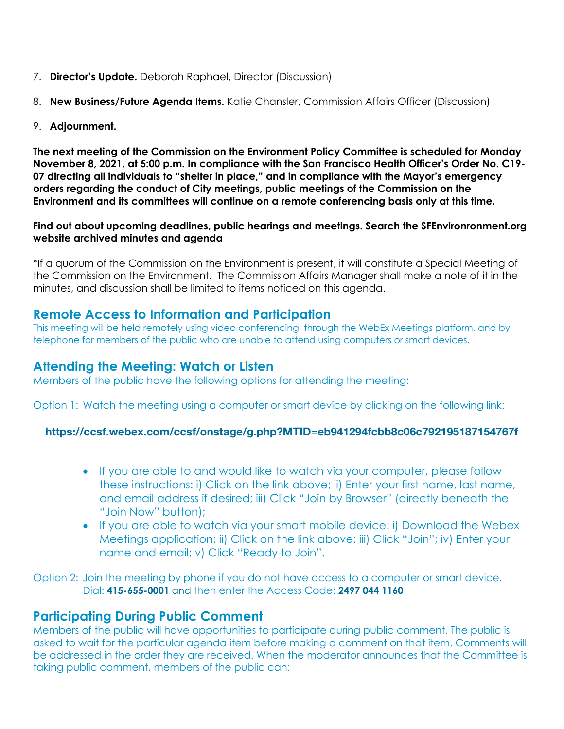- 7. **Director's Update.** Deborah Raphael, Director (Discussion)
- 8. **New Business/Future Agenda Items.** Katie Chansler, Commission Affairs Officer (Discussion)
- 9. **Adjournment.**

**The next meeting of the Commission on the Environment Policy Committee is scheduled for Monday November 8, 2021, at 5:00 p.m. In compliance with the San Francisco Health Officer's Order No. C19- 07 directing all individuals to "shelter in place," and in compliance with the Mayor's emergency orders regarding the conduct of City meetings, public meetings of the Commission on the Environment and its committees will continue on a remote conferencing basis only at this time.**

## **Find out about upcoming deadlines, public hearings and meetings. Search the SFEnvironronment.org website archived minutes and agenda**

\*If a quorum of the Commission on the Environment is present, it will constitute a Special Meeting of the Commission on the Environment. The Commission Affairs Manager shall make a note of it in the minutes, and discussion shall be limited to items noticed on this agenda.

# **Remote Access to Information and Participation**

This meeting will be held remotely using video conferencing, through the WebEx Meetings platform, and by telephone for members of the public who are unable to attend using computers or smart devices.

# **Attending the Meeting: Watch or Listen**

Members of the public have the following options for attending the meeting:

Option 1: Watch the meeting using a computer or smart device by clicking on the following link:

# **https://ccsf.webex.com/ccsf/onstage/g.php?MTID=eb941294fcbb8c06c792195187154767f**

- If you are able to and would like to watch via your computer, please follow these instructions: i) Click on the link above; ii) Enter your first name, last name, and email address if desired; iii) Click "Join by Browser" (directly beneath the "Join Now" button);
- If you are able to watch via your smart mobile device: i) Download the Webex Meetings application; ii) Click on the link above; iii) Click "Join"; iv) Enter your name and email; v) Click "Ready to Join".

Option 2: Join the meeting by phone if you do not have access to a computer or smart device. Dial: **415-655-0001** and then enter the Access Code: **2497 044 1160** 

# **Participating During Public Comment**

Members of the public will have opportunities to participate during public comment. The public is asked to wait for the particular agenda item before making a comment on that item. Comments will be addressed in the order they are received. When the moderator announces that the Committee is taking public comment, members of the public can: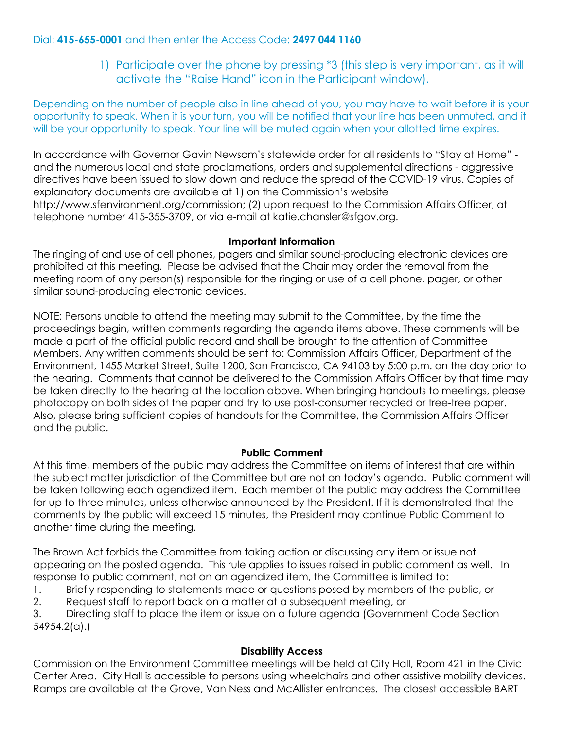# Dial: **415-655-0001** and then enter the Access Code: **2497 044 1160**

1) Participate over the phone by pressing \*3 (this step is very important, as it will activate the "Raise Hand" icon in the Participant window).

Depending on the number of people also in line ahead of you, you may have to wait before it is your opportunity to speak. When it is your turn, you will be notified that your line has been unmuted, and it will be your opportunity to speak. Your line will be muted again when your allotted time expires.

In accordance with Governor Gavin Newsom's statewide order for all residents to "Stay at Home" and the numerous local and state proclamations, orders and supplemental directions - aggressive directives have been issued to slow down and reduce the spread of the COVID-19 virus. Copies of explanatory documents are available at 1) on the Commission's website http://www.sfenvironment.org/commission; (2) upon request to the Commission Affairs Officer, at telephone number 415-355-3709, or via e-mail at katie.chansler@sfgov.org.

## **Important Information**

The ringing of and use of cell phones, pagers and similar sound-producing electronic devices are prohibited at this meeting. Please be advised that the Chair may order the removal from the meeting room of any person(s) responsible for the ringing or use of a cell phone, pager, or other similar sound-producing electronic devices.

NOTE: Persons unable to attend the meeting may submit to the Committee, by the time the proceedings begin, written comments regarding the agenda items above. These comments will be made a part of the official public record and shall be brought to the attention of Committee Members. Any written comments should be sent to: Commission Affairs Officer, Department of the Environment, 1455 Market Street, Suite 1200, San Francisco, CA 94103 by 5:00 p.m. on the day prior to the hearing. Comments that cannot be delivered to the Commission Affairs Officer by that time may be taken directly to the hearing at the location above. When bringing handouts to meetings, please photocopy on both sides of the paper and try to use post-consumer recycled or tree-free paper. Also, please bring sufficient copies of handouts for the Committee, the Commission Affairs Officer and the public.

# **Public Comment**

At this time, members of the public may address the Committee on items of interest that are within the subject matter jurisdiction of the Committee but are not on today's agenda. Public comment will be taken following each agendized item. Each member of the public may address the Committee for up to three minutes, unless otherwise announced by the President. If it is demonstrated that the comments by the public will exceed 15 minutes, the President may continue Public Comment to another time during the meeting.

The Brown Act forbids the Committee from taking action or discussing any item or issue not appearing on the posted agenda. This rule applies to issues raised in public comment as well. In response to public comment, not on an agendized item, the Committee is limited to:

- 1. Briefly responding to statements made or questions posed by members of the public, or
- 2. Request staff to report back on a matter at a subsequent meeting, or

3. Directing staff to place the item or issue on a future agenda (Government Code Section 54954.2(a).)

#### **Disability Access**

Commission on the Environment Committee meetings will be held at City Hall, Room 421 in the Civic Center Area. City Hall is accessible to persons using wheelchairs and other assistive mobility devices. Ramps are available at the Grove, Van Ness and McAllister entrances. The closest accessible BART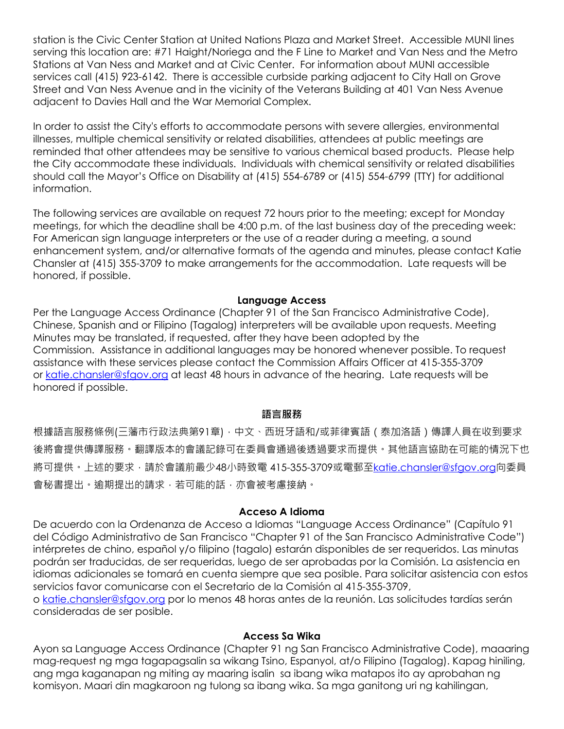station is the Civic Center Station at United Nations Plaza and Market Street. Accessible MUNI lines serving this location are: #71 Haight/Noriega and the F Line to Market and Van Ness and the Metro Stations at Van Ness and Market and at Civic Center. For information about MUNI accessible services call (415) 923-6142. There is accessible curbside parking adjacent to City Hall on Grove Street and Van Ness Avenue and in the vicinity of the Veterans Building at 401 Van Ness Avenue adjacent to Davies Hall and the War Memorial Complex.

In order to assist the City's efforts to accommodate persons with severe allergies, environmental illnesses, multiple chemical sensitivity or related disabilities, attendees at public meetings are reminded that other attendees may be sensitive to various chemical based products. Please help the City accommodate these individuals. Individuals with chemical sensitivity or related disabilities should call the Mayor's Office on Disability at (415) 554-6789 or (415) 554-6799 (TTY) for additional information.

The following services are available on request 72 hours prior to the meeting; except for Monday meetings, for which the deadline shall be 4:00 p.m. of the last business day of the preceding week: For American sign language interpreters or the use of a reader during a meeting, a sound enhancement system, and/or alternative formats of the agenda and minutes, please contact Katie Chansler at (415) 355-3709 to make arrangements for the accommodation. Late requests will be honored, if possible.

#### **Language Access**

Per the Language Access Ordinance (Chapter 91 of the San Francisco Administrative Code), Chinese, Spanish and or Filipino (Tagalog) interpreters will be available upon requests. Meeting Minutes may be translated, if requested, after they have been adopted by the Commission. Assistance in additional languages may be honored whenever possible. To request assistance with these services please contact the Commission Affairs Officer at 415-355-3709 or katie.chansler@sfgov.org at least 48 hours in advance of the hearing. Late requests will be honored if possible.

#### **語言服務**

根據語言服務條例(三藩市行政法典第91章),中文、西班牙語和/或菲律賓語 (泰加洛語)傳譯人員在收到要求 後將會提供傳譯服務。翻譯版本的會議記錄可在委員會通過後透過要求而提供。其他語言協助在可能的情況下也 將可提供。上述的要求,請於會議前最少48小時致電 415-355-3709或電郵至katie.chansler@sfgov.org向委員 會秘書提出。逾期提出的請求,若可能的話,亦會被考慮接納。

#### **Acceso A Idioma**

De acuerdo con la Ordenanza de Acceso a Idiomas "Language Access Ordinance" (Capítulo 91 del Código Administrativo de San Francisco "Chapter 91 of the San Francisco Administrative Code") intérpretes de chino, español y/o filipino (tagalo) estarán disponibles de ser requeridos. Las minutas podrán ser traducidas, de ser requeridas, luego de ser aprobadas por la Comisión. La asistencia en idiomas adicionales se tomará en cuenta siempre que sea posible. Para solicitar asistencia con estos servicios favor comunicarse con el Secretario de la Comisión al 415-355-3709,

o katie.chansler@sfgov.org por lo menos 48 horas antes de la reunión. Las solicitudes tardías serán consideradas de ser posible.

#### **Access Sa Wika**

Ayon sa Language Access Ordinance (Chapter 91 ng San Francisco Administrative Code), maaaring mag-request ng mga tagapagsalin sa wikang Tsino, Espanyol, at/o Filipino (Tagalog). Kapag hiniling, ang mga kaganapan ng miting ay maaring isalin sa ibang wika matapos ito ay aprobahan ng komisyon. Maari din magkaroon ng tulong sa ibang wika. Sa mga ganitong uri ng kahilingan,